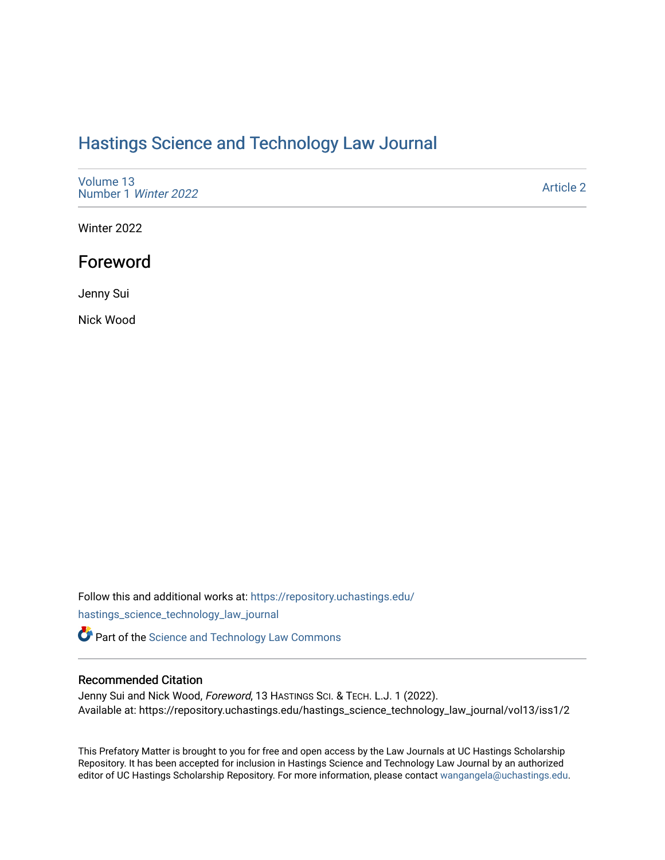## [Hastings Science and Technology Law Journal](https://repository.uchastings.edu/hastings_science_technology_law_journal)

| Volume 13<br>Number 1 Winter 2022 | <b>Article 2</b> |
|-----------------------------------|------------------|
|-----------------------------------|------------------|

Winter 2022

## Foreword

Jenny Sui

Nick Wood

Follow this and additional works at: [https://repository.uchastings.edu/](https://repository.uchastings.edu/hastings_science_technology_law_journal?utm_source=repository.uchastings.edu%2Fhastings_science_technology_law_journal%2Fvol13%2Fiss1%2F2&utm_medium=PDF&utm_campaign=PDFCoverPages) [hastings\\_science\\_technology\\_law\\_journal](https://repository.uchastings.edu/hastings_science_technology_law_journal?utm_source=repository.uchastings.edu%2Fhastings_science_technology_law_journal%2Fvol13%2Fiss1%2F2&utm_medium=PDF&utm_campaign=PDFCoverPages) 

**Part of the [Science and Technology Law Commons](http://network.bepress.com/hgg/discipline/875?utm_source=repository.uchastings.edu%2Fhastings_science_technology_law_journal%2Fvol13%2Fiss1%2F2&utm_medium=PDF&utm_campaign=PDFCoverPages)** 

## Recommended Citation

Jenny Sui and Nick Wood, Foreword, 13 HASTINGS SCI. & TECH. L.J. 1 (2022). Available at: https://repository.uchastings.edu/hastings\_science\_technology\_law\_journal/vol13/iss1/2

This Prefatory Matter is brought to you for free and open access by the Law Journals at UC Hastings Scholarship Repository. It has been accepted for inclusion in Hastings Science and Technology Law Journal by an authorized editor of UC Hastings Scholarship Repository. For more information, please contact [wangangela@uchastings.edu](mailto:wangangela@uchastings.edu).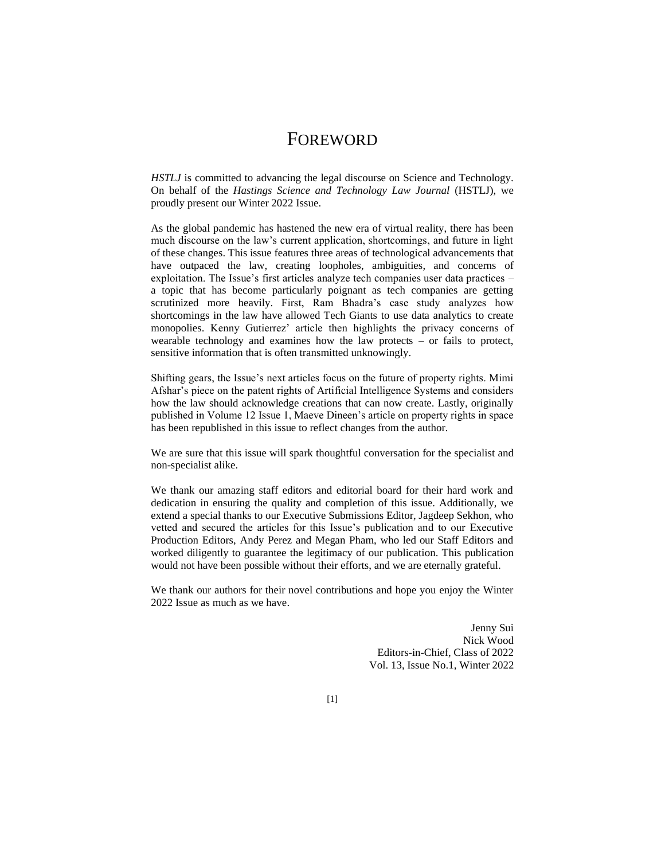## FOREWORD

*HSTLJ* is committed to advancing the legal discourse on Science and Technology. On behalf of the *Hastings Science and Technology Law Journal* (HSTLJ), we proudly present our Winter 2022 Issue.

As the global pandemic has hastened the new era of virtual reality, there has been much discourse on the law's current application, shortcomings, and future in light of these changes. This issue features three areas of technological advancements that have outpaced the law, creating loopholes, ambiguities, and concerns of exploitation. The Issue's first articles analyze tech companies user data practices – a topic that has become particularly poignant as tech companies are getting scrutinized more heavily. First, Ram Bhadra's case study analyzes how shortcomings in the law have allowed Tech Giants to use data analytics to create monopolies. Kenny Gutierrez' article then highlights the privacy concerns of wearable technology and examines how the law protects  $-$  or fails to protect, sensitive information that is often transmitted unknowingly.

Shifting gears, the Issue's next articles focus on the future of property rights. Mimi Afshar's piece on the patent rights of Artificial Intelligence Systems and considers how the law should acknowledge creations that can now create. Lastly, originally published in Volume 12 Issue 1, Maeve Dineen's article on property rights in space has been republished in this issue to reflect changes from the author.

We are sure that this issue will spark thoughtful conversation for the specialist and non-specialist alike.

We thank our amazing staff editors and editorial board for their hard work and dedication in ensuring the quality and completion of this issue. Additionally, we extend a special thanks to our Executive Submissions Editor, Jagdeep Sekhon, who vetted and secured the articles for this Issue's publication and to our Executive Production Editors, Andy Perez and Megan Pham, who led our Staff Editors and worked diligently to guarantee the legitimacy of our publication. This publication would not have been possible without their efforts, and we are eternally grateful.

We thank our authors for their novel contributions and hope you enjoy the Winter 2022 Issue as much as we have.

> Jenny Sui Nick Wood Editors-in-Chief, Class of 2022 Vol. 13, Issue No.1, Winter 2022